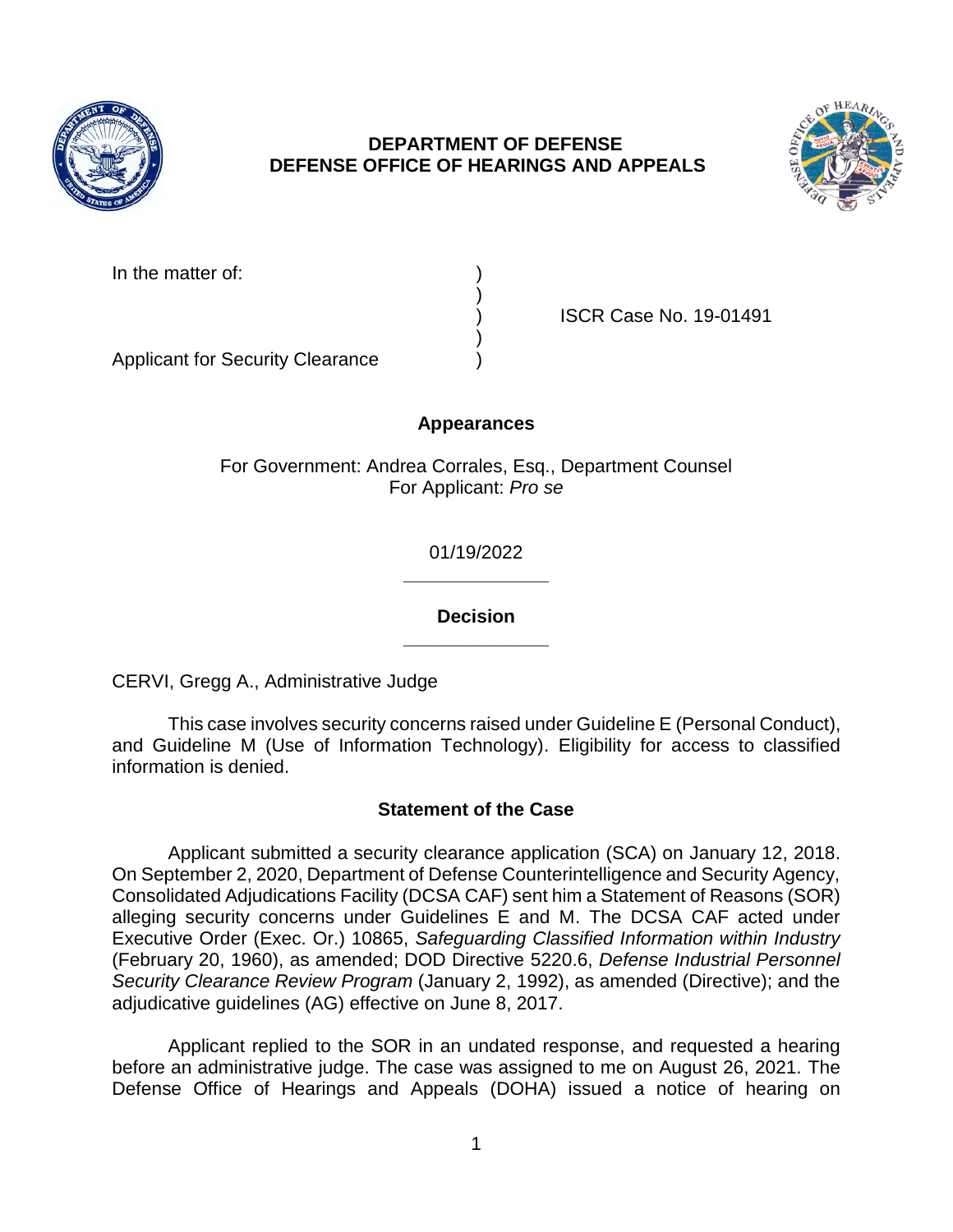

# **DEPARTMENT OF DEFENSE DEFENSE OFFICE OF HEARINGS AND APPEALS**



| In the matter of: |  |
|-------------------|--|
|                   |  |

) ISCR Case No. 19-01491

Applicant for Security Clearance )

# **Appearances**

)

)

For Government: Andrea Corrales, Esq., Department Counsel For Applicant: *Pro se* 

> **\_\_\_\_\_\_\_\_\_\_\_\_\_\_**  01/19/2022

> **\_\_\_\_\_\_\_\_\_\_\_\_\_\_ Decision**

CERVI, Gregg A., Administrative Judge

 and Guideline M (Use of Information Technology). Eligibility for access to classified This case involves security concerns raised under Guideline E (Personal Conduct), information is denied.

# **Statement of the Case**

 Applicant submitted a security clearance application (SCA) on January 12, 2018. On September 2, 2020, Department of Defense Counterintelligence and Security Agency, alleging security concerns under Guidelines E and M. The DCSA CAF acted under  Executive Order (Exec. Or.) 10865, *Safeguarding Classified Information within Industry*  Consolidated Adjudications Facility (DCSA CAF) sent him a Statement of Reasons (SOR) (February 20, 1960), as amended; DOD Directive 5220.6, *Defense Industrial Personnel Security Clearance Review Program* (January 2, 1992), as amended (Directive); and the adjudicative guidelines (AG) effective on June 8, 2017.

 Applicant replied to the SOR in an undated response, and requested a hearing before an administrative judge. The case was assigned to me on August 26, 2021. The Defense Office of Hearings and Appeals (DOHA) issued a notice of hearing on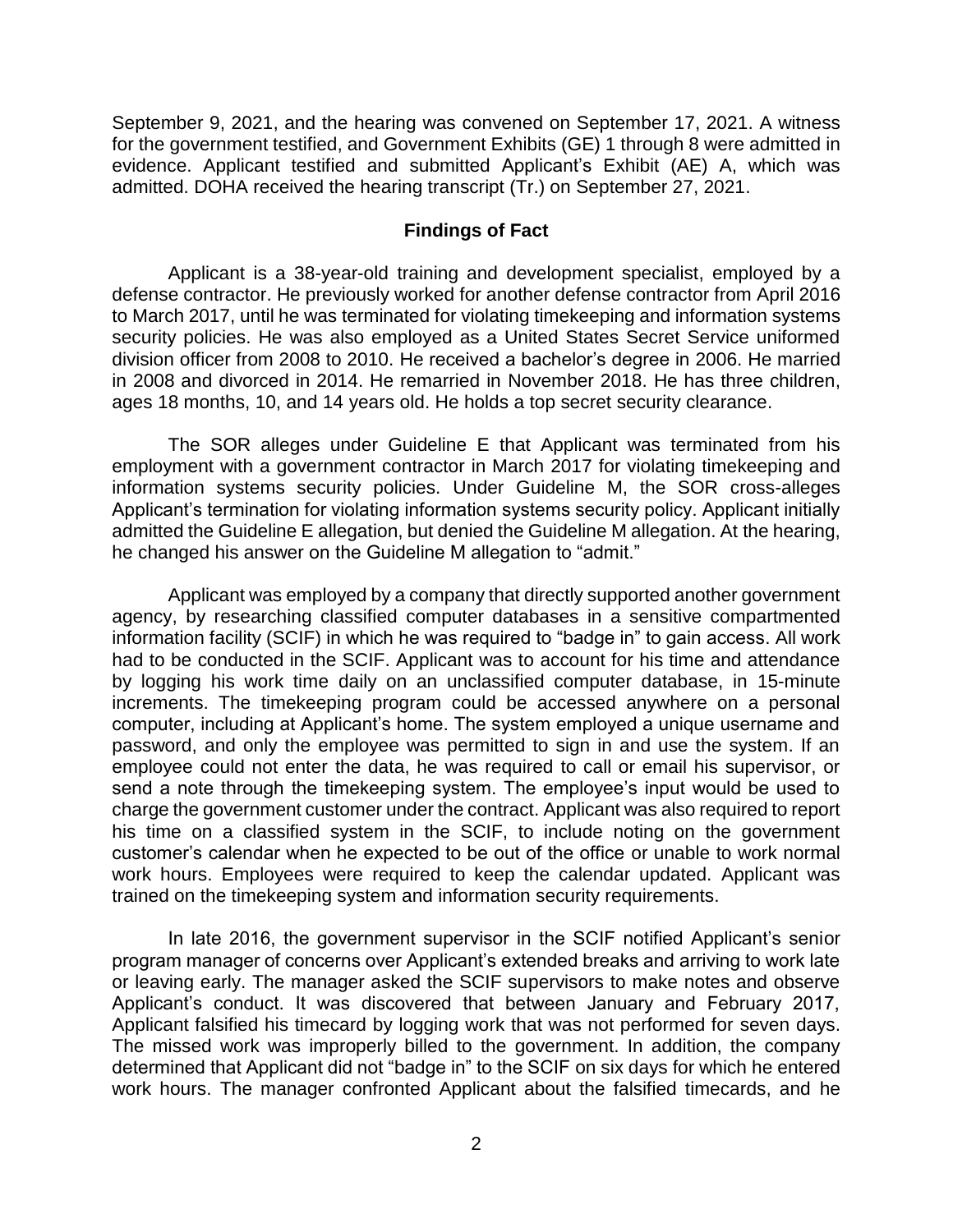September 9, 2021, and the hearing was convened on September 17, 2021. A witness for the government testified, and Government Exhibits (GE) 1 through 8 were admitted in evidence. Applicant testified and submitted Applicant's Exhibit (AE) A, which was admitted. DOHA received the hearing transcript (Tr.) on September 27, 2021.

#### **Findings of Fact**

 Applicant is a 38-year-old training and development specialist, employed by a to March 2017, until he was terminated for violating timekeeping and information systems security policies. He was also employed as a United States Secret Service uniformed division officer from 2008 to 2010. He received a bachelor's degree in 2006. He married in 2008 and divorced in 2014. He remarried in November 2018. He has three children, defense contractor. He previously worked for another defense contractor from April 2016 ages 18 months, 10, and 14 years old. He holds a top secret security clearance.

 The SOR alleges under Guideline E that Applicant was terminated from his employment with a government contractor in March 2017 for violating timekeeping and information systems security policies. Under Guideline M, the SOR cross-alleges Applicant's termination for violating information systems security policy. Applicant initially admitted the Guideline E allegation, but denied the Guideline M allegation. At the hearing, he changed his answer on the Guideline M allegation to "admit."

 Applicant was employed by a company that directly supported another government agency, by researching classified computer databases in a sensitive compartmented information facility (SCIF) in which he was required to "badge in" to gain access. All work had to be conducted in the SCIF. Applicant was to account for his time and attendance by logging his work time daily on an unclassified computer database, in 15-minute increments. The timekeeping program could be accessed anywhere on a personal computer, including at Applicant's home. The system employed a unique username and password, and only the employee was permitted to sign in and use the system. If an employee could not enter the data, he was required to call or email his supervisor, or send a note through the timekeeping system. The employee's input would be used to charge the government customer under the contract. Applicant was also required to report his time on a classified system in the SCIF, to include noting on the government customer's calendar when he expected to be out of the office or unable to work normal work hours. Employees were required to keep the calendar updated. Applicant was trained on the timekeeping system and information security requirements.

 In late 2016, the government supervisor in the SCIF notified Applicant's senior program manager of concerns over Applicant's extended breaks and arriving to work late or leaving early. The manager asked the SCIF supervisors to make notes and observe Applicant's conduct. It was discovered that between January and February 2017, Applicant falsified his timecard by logging work that was not performed for seven days. The missed work was improperly billed to the government. In addition, the company determined that Applicant did not "badge in" to the SCIF on six days for which he entered work hours. The manager confronted Applicant about the falsified timecards, and he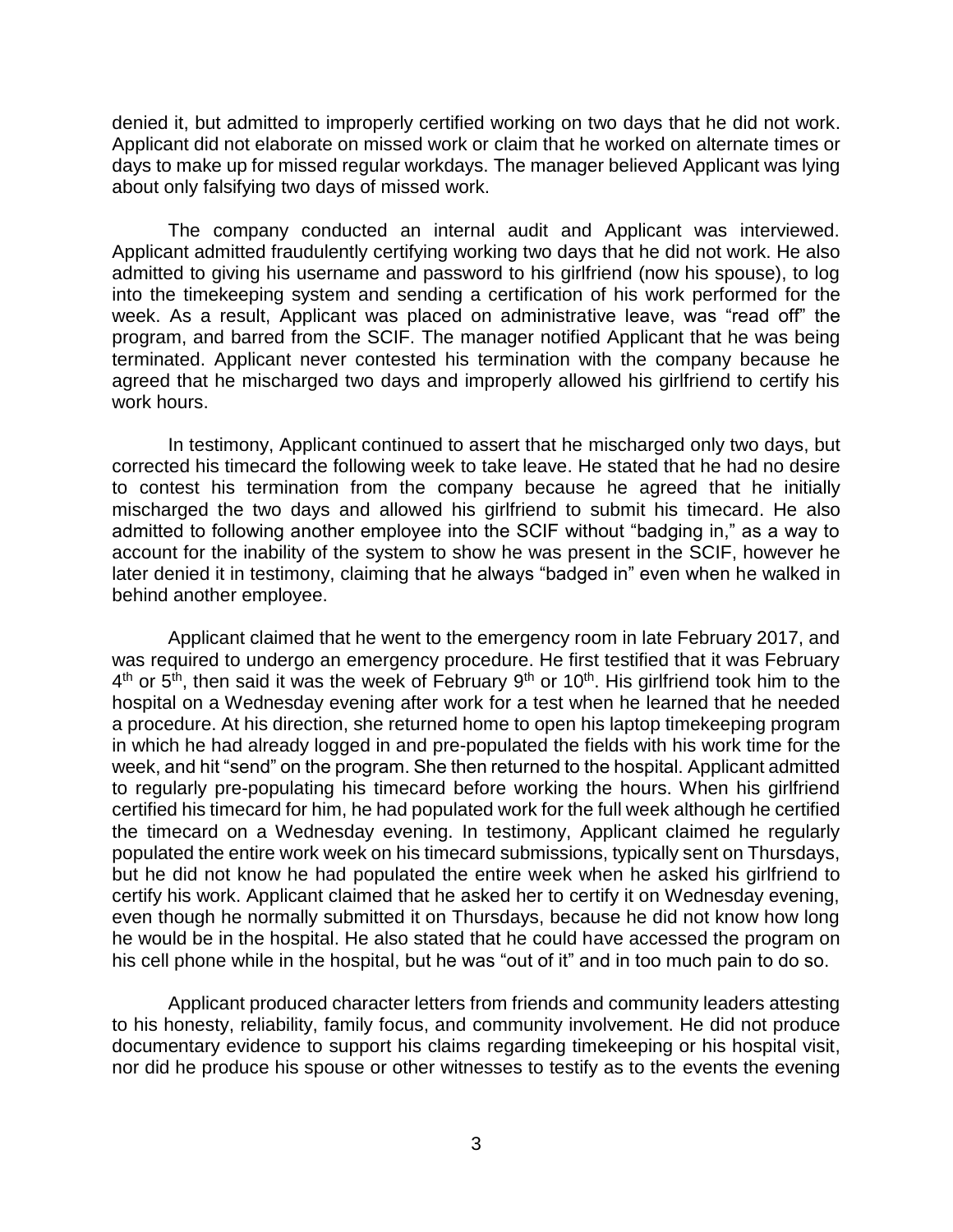denied it, but admitted to improperly certified working on two days that he did not work. Applicant did not elaborate on missed work or claim that he worked on alternate times or days to make up for missed regular workdays. The manager believed Applicant was lying about only falsifying two days of missed work.

 The company conducted an internal audit and Applicant was interviewed. admitted to giving his username and password to his girlfriend (now his spouse), to log into the timekeeping system and sending a certification of his work performed for the week. As a result, Applicant was placed on administrative leave, was "read off" the program, and barred from the SCIF. The manager notified Applicant that he was being terminated. Applicant never contested his termination with the company because he agreed that he mischarged two days and improperly allowed his girlfriend to certify his Applicant admitted fraudulently certifying working two days that he did not work. He also work hours.

 In testimony, Applicant continued to assert that he mischarged only two days, but corrected his timecard the following week to take leave. He stated that he had no desire to contest his termination from the company because he agreed that he initially mischarged the two days and allowed his girlfriend to submit his timecard. He also admitted to following another employee into the SCIF without "badging in," as a way to account for the inability of the system to show he was present in the SCIF, however he later denied it in testimony, claiming that he always "badged in" even when he walked in behind another employee.

Applicant claimed that he went to the emergency room in late February 2017, and was required to undergo an emergency procedure. He first testified that it was February  $4<sup>th</sup>$  or  $5<sup>th</sup>$ , then said it was the week of February  $9<sup>th</sup>$  or  $10<sup>th</sup>$ . His girlfriend took him to the hospital on a Wednesday evening after work for a test when he learned that he needed a procedure. At his direction, she returned home to open his laptop timekeeping program in which he had already logged in and pre-populated the fields with his work time for the week, and hit "send" on the program. She then returned to the hospital. Applicant admitted to regularly pre-populating his timecard before working the hours. When his girlfriend certified his timecard for him, he had populated work for the full week although he certified the timecard on a Wednesday evening. In testimony, Applicant claimed he regularly populated the entire work week on his timecard submissions, typically sent on Thursdays, but he did not know he had populated the entire week when he asked his girlfriend to certify his work. Applicant claimed that he asked her to certify it on Wednesday evening, even though he normally submitted it on Thursdays, because he did not know how long he would be in the hospital. He also stated that he could have accessed the program on his cell phone while in the hospital, but he was "out of it" and in too much pain to do so.

 Applicant produced character letters from friends and community leaders attesting to his honesty, reliability, family focus, and community involvement. He did not produce documentary evidence to support his claims regarding timekeeping or his hospital visit, nor did he produce his spouse or other witnesses to testify as to the events the evening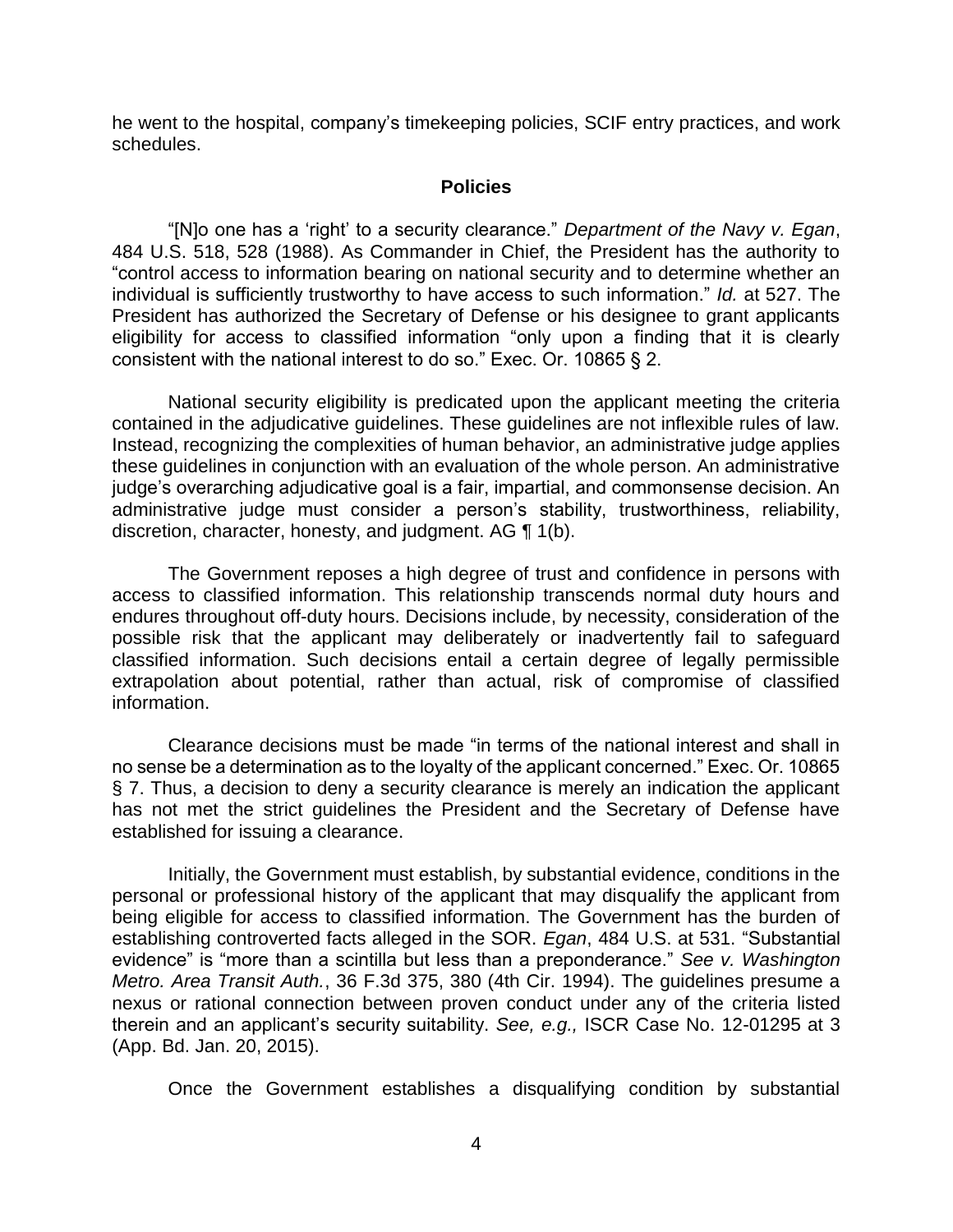he went to the hospital, company's timekeeping policies, SCIF entry practices, and work schedules.

### **Policies**

 "[N]o one has a 'right' to a security clearance." *Department of the Navy v. Egan*, 484 U.S. 518, 528 (1988). As Commander in Chief, the President has the authority to "control access to information bearing on national security and to determine whether an individual is sufficiently trustworthy to have access to such information." *Id.* at 527. The President has authorized the Secretary of Defense or his designee to grant applicants eligibility for access to classified information "only upon a finding that it is clearly consistent with the national interest to do so." Exec. Or. 10865 § 2.

 National security eligibility is predicated upon the applicant meeting the criteria contained in the adjudicative guidelines. These guidelines are not inflexible rules of law. Instead, recognizing the complexities of human behavior, an administrative judge applies these guidelines in conjunction with an evaluation of the whole person. An administrative administrative judge must consider a person's stability, trustworthiness, reliability, discretion, character, honesty, and judgment. AG ¶ 1(b). judge's overarching adjudicative goal is a fair, impartial, and commonsense decision. An

 The Government reposes a high degree of trust and confidence in persons with access to classified information. This relationship transcends normal duty hours and endures throughout off-duty hours. Decisions include, by necessity, consideration of the possible risk that the applicant may deliberately or inadvertently fail to safeguard classified information. Such decisions entail a certain degree of legally permissible extrapolation about potential, rather than actual, risk of compromise of classified information.

 Clearance decisions must be made "in terms of the national interest and shall in no sense be a determination as to the loyalty of the applicant concerned." Exec. Or. 10865 § 7. Thus, a decision to deny a security clearance is merely an indication the applicant has not met the strict guidelines the President and the Secretary of Defense have established for issuing a clearance.

 Initially, the Government must establish, by substantial evidence, conditions in the personal or professional history of the applicant that may disqualify the applicant from being eligible for access to classified information. The Government has the burden of establishing controverted facts alleged in the SOR. *Egan*, 484 U.S. at 531. "Substantial evidence" is "more than a scintilla but less than a preponderance." *See v. Washington Metro. Area Transit Auth.*, 36 F.3d 375, 380 (4th Cir. 1994). The guidelines presume a nexus or rational connection between proven conduct under any of the criteria listed therein and an applicant's security suitability. *See, e.g.,* ISCR Case No. 12-01295 at 3 (App. Bd. Jan. 20, 2015).

Once the Government establishes a disqualifying condition by substantial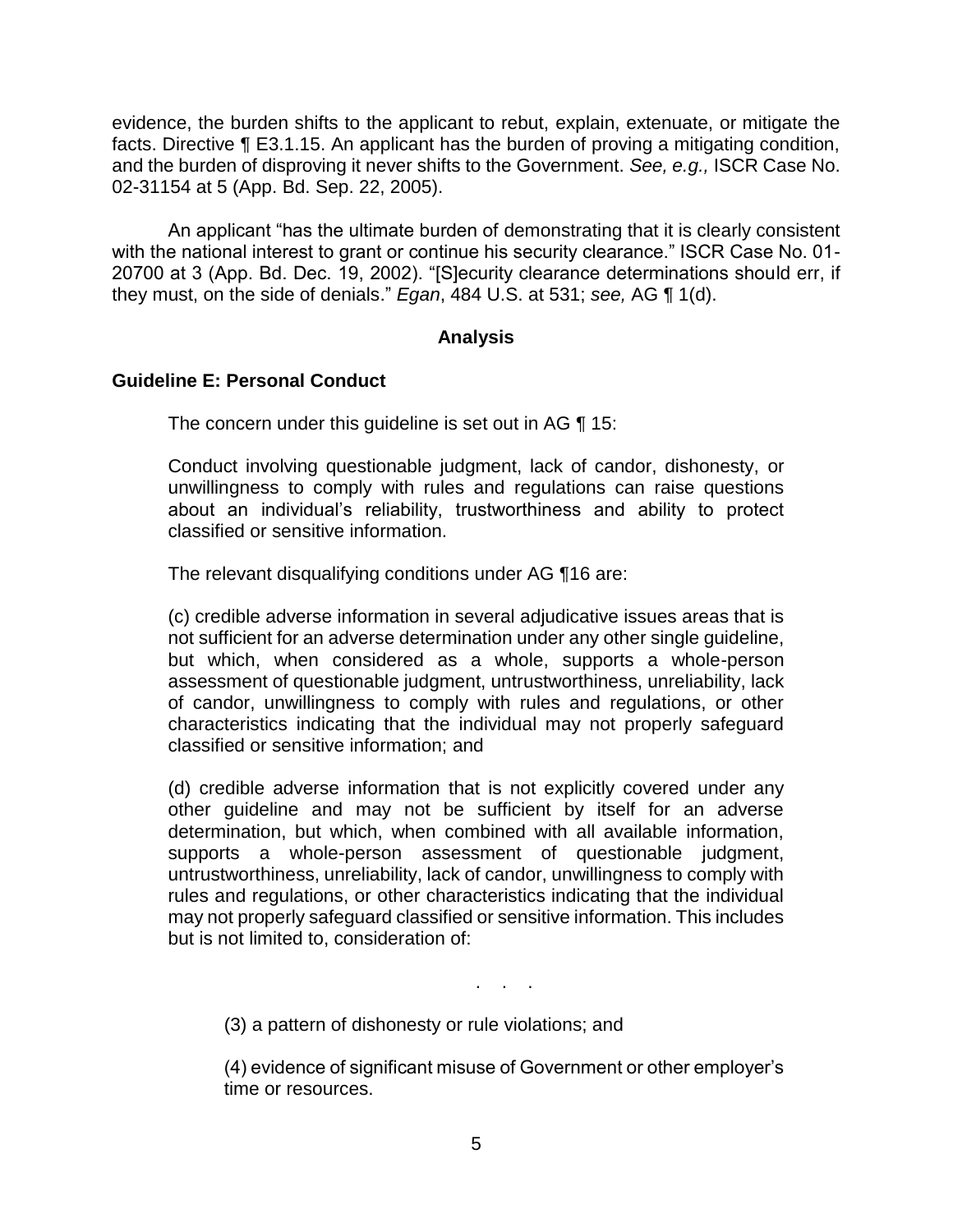evidence, the burden shifts to the applicant to rebut, explain, extenuate, or mitigate the facts. Directive ¶ E3.1.15. An applicant has the burden of proving a mitigating condition, and the burden of disproving it never shifts to the Government. *See, e.g.,* ISCR Case No. 02-31154 at 5 (App. Bd. Sep. 22, 2005).

An applicant "has the ultimate burden of demonstrating that it is clearly consistent with the national interest to grant or continue his security clearance." ISCR Case No. 01- 20700 at 3 (App. Bd. Dec. 19, 2002). "[S]ecurity clearance determinations should err, if they must, on the side of denials." *Egan*, 484 U.S. at 531; *see,* AG ¶ 1(d).

### **Analysis**

### **Guideline E: Personal Conduct**

The concern under this guideline is set out in AG ¶ 15:

Conduct involving questionable judgment, lack of candor, dishonesty, or unwillingness to comply with rules and regulations can raise questions about an individual's reliability, trustworthiness and ability to protect classified or sensitive information.

The relevant disqualifying conditions under AG ¶16 are:

 not sufficient for an adverse determination under any other single guideline, but which, when considered as a whole, supports a whole-person of candor, unwillingness to comply with rules and regulations, or other characteristics indicating that the individual may not properly safeguard (c) credible adverse information in several adjudicative issues areas that is assessment of questionable judgment, untrustworthiness, unreliability, lack classified or sensitive information; and

 (d) credible adverse information that is not explicitly covered under any other guideline and may not be sufficient by itself for an adverse determination, but which, when combined with all available information, untrustworthiness, unreliability, lack of candor, unwillingness to comply with rules and regulations, or other characteristics indicating that the individual may not properly safeguard classified or sensitive information. This includes supports a whole-person assessment of questionable judgment, but is not limited to, consideration of:

. . .

(3) a pattern of dishonesty or rule violations; and

(4) evidence of significant misuse of Government or other employer's time or resources.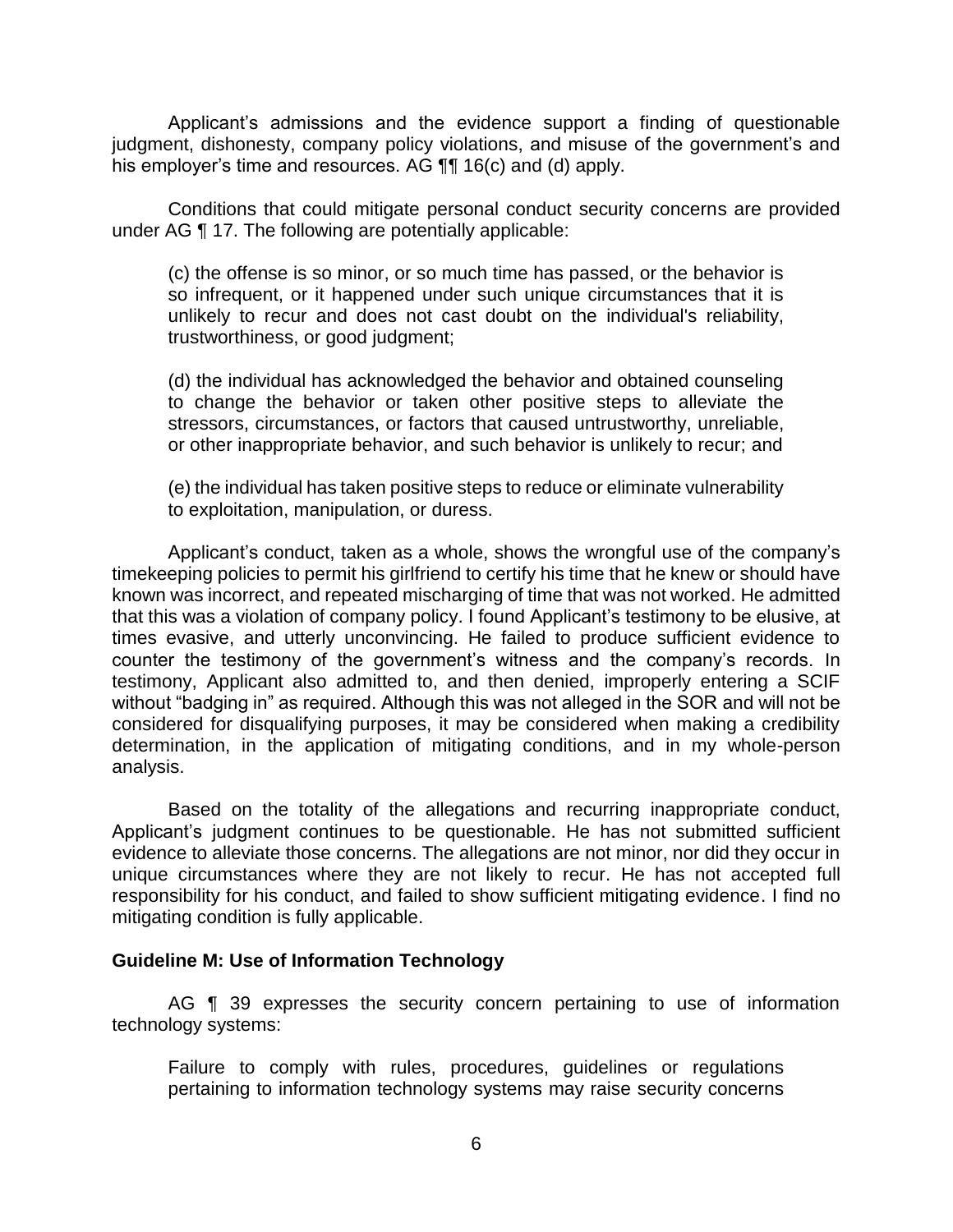Applicant's admissions and the evidence support a finding of questionable judgment, dishonesty, company policy violations, and misuse of the government's and his employer's time and resources. AG **[1]** 16(c) and (d) apply.

 Conditions that could mitigate personal conduct security concerns are provided under AG ¶ 17. The following are potentially applicable:

 (c) the offense is so minor, or so much time has passed, or the behavior is so infrequent, or it happened under such unique circumstances that it is unlikely to recur and does not cast doubt on the individual's reliability, trustworthiness, or good judgment;

 (d) the individual has acknowledged the behavior and obtained counseling to change the behavior or taken other positive steps to alleviate the stressors, circumstances, or factors that caused untrustworthy, unreliable, or other inappropriate behavior, and such behavior is unlikely to recur; and

 (e) the individual has taken positive steps to reduce or eliminate vulnerability to exploitation, manipulation, or duress.

 Applicant's conduct, taken as a whole, shows the wrongful use of the company's timekeeping policies to permit his girlfriend to certify his time that he knew or should have known was incorrect, and repeated mischarging of time that was not worked. He admitted that this was a violation of company policy. I found Applicant's testimony to be elusive, at times evasive, and utterly unconvincing. He failed to produce sufficient evidence to counter the testimony of the government's witness and the company's records. In testimony, Applicant also admitted to, and then denied, improperly entering a SCIF without "badging in" as required. Although this was not alleged in the SOR and will not be considered for disqualifying purposes, it may be considered when making a credibility determination, in the application of mitigating conditions, and in my whole-person analysis.

 Based on the totality of the allegations and recurring inappropriate conduct, evidence to alleviate those concerns. The allegations are not minor, nor did they occur in unique circumstances where they are not likely to recur. He has not accepted full responsibility for his conduct, and failed to show sufficient mitigating evidence. I find no Applicant's judgment continues to be questionable. He has not submitted sufficient mitigating condition is fully applicable.

#### **Guideline M: Use of Information Technology**

AG **[1** 39 expresses the security concern pertaining to use of information technology systems:

 Failure to comply with rules, procedures, guidelines or regulations pertaining to information technology systems may raise security concerns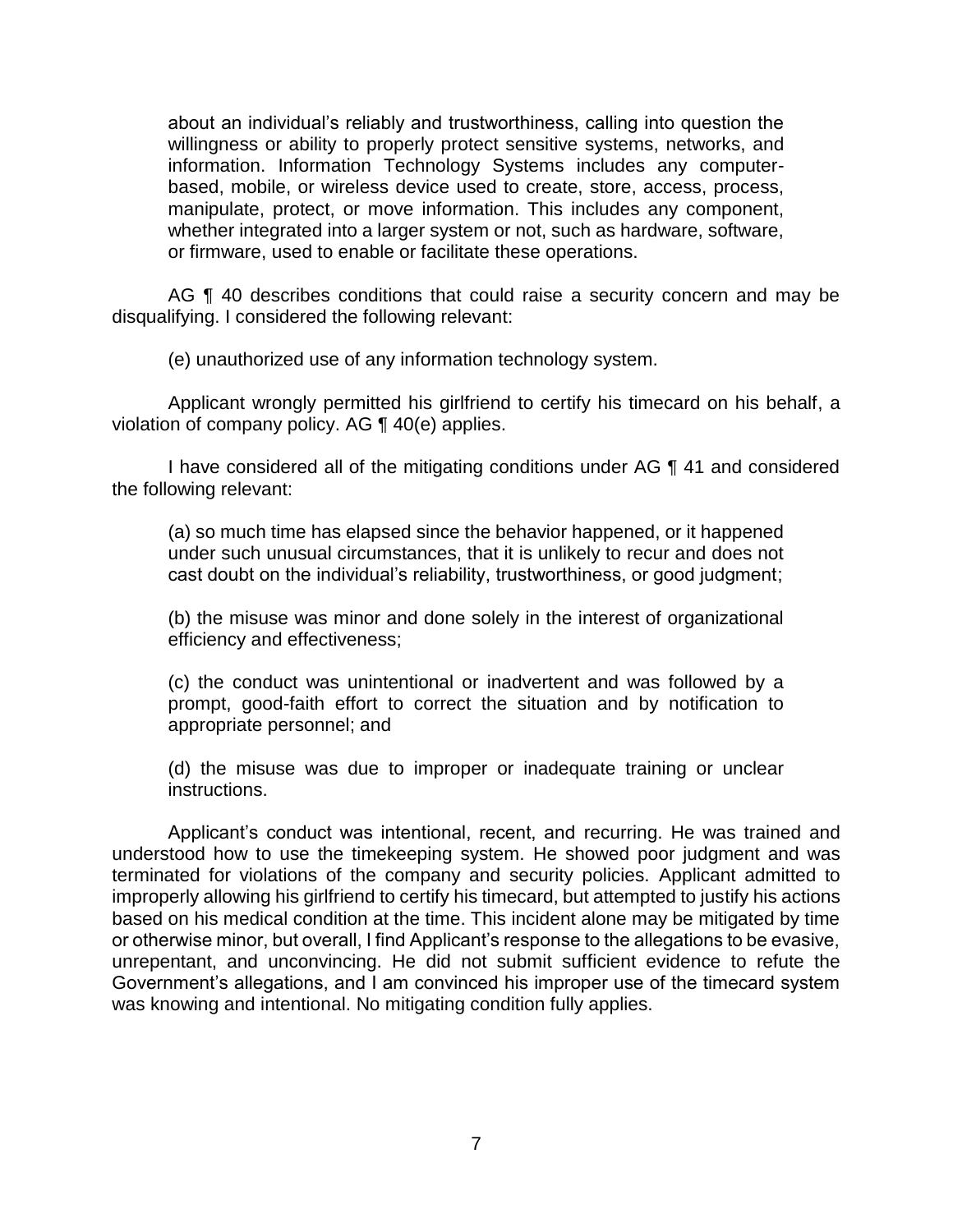about an individual's reliably and trustworthiness, calling into question the willingness or ability to properly protect sensitive systems, networks, and information. Information Technology Systems includes any computerbased, mobile, or wireless device used to create, store, access, process, manipulate, protect, or move information. This includes any component, whether integrated into a larger system or not, such as hardware, software, or firmware, used to enable or facilitate these operations.

AG ¶ 40 describes conditions that could raise a security concern and may be disqualifying. I considered the following relevant:

(e) unauthorized use of any information technology system.

 Applicant wrongly permitted his girlfriend to certify his timecard on his behalf, a violation of company policy. AG ¶ 40(e) applies.

I have considered all of the mitigating conditions under AG ¶ 41 and considered the following relevant:

 (a) so much time has elapsed since the behavior happened, or it happened under such unusual circumstances, that it is unlikely to recur and does not cast doubt on the individual's reliability, trustworthiness, or good judgment;

 (b) the misuse was minor and done solely in the interest of organizational efficiency and effectiveness;

 (c) the conduct was unintentional or inadvertent and was followed by a prompt, good-faith effort to correct the situation and by notification to appropriate personnel; and

 (d) the misuse was due to improper or inadequate training or unclear instructions.

Applicant's conduct was intentional, recent, and recurring. He was trained and understood how to use the timekeeping system. He showed poor judgment and was terminated for violations of the company and security policies. Applicant admitted to improperly allowing his girlfriend to certify his timecard, but attempted to justify his actions based on his medical condition at the time. This incident alone may be mitigated by time or otherwise minor, but overall, I find Applicant's response to the allegations to be evasive, unrepentant, and unconvincing. He did not submit sufficient evidence to refute the Government's allegations, and I am convinced his improper use of the timecard system was knowing and intentional. No mitigating condition fully applies.